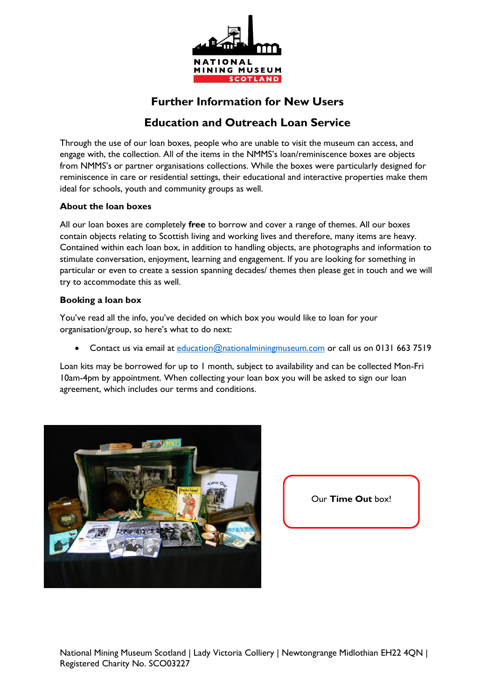

## **Further Information for New Users**

# **Education and Outreach Loan Service**

Through the use of our loan boxes, people who are unable to visit the museum can access, and engage with, the collection. All of the items in the NMMS's loan/reminiscence boxes are objects from NMMS's or partner organisations collections. While the boxes were particularly designed for reminiscence in care or residential settings, their educational and interactive properties make them ideal for schools, youth and community groups as well.

#### **About the loan boxes**

All our loan boxes are completely **free** to borrow and cover a range of themes. All our boxes contain objects relating to Scottish living and working lives and therefore, many items are heavy. Contained within each loan box, in addition to handling objects, are photographs and information to stimulate conversation, enjoyment, learning and engagement. If you are looking for something in particular or even to create a session spanning decades/ themes then please get in touch and we will try to accommodate this as well.

#### **Booking a loan box**

You've read all the info, you've decided on which box you would like to loan for your organisation/group, so here's what to do next:

Contact us via email at [education@nationalminingmuseum.com](mailto:education@nationalminingmuseum.com) or call us on 0131 663 7519

Loan kits may be borrowed for up to 1 month, subject to availability and can be collected Mon-Fri 10am-4pm by appointment. When collecting your loan box you will be asked to sign our loan agreement, which includes our terms and conditions.



Our **Time Out** box!